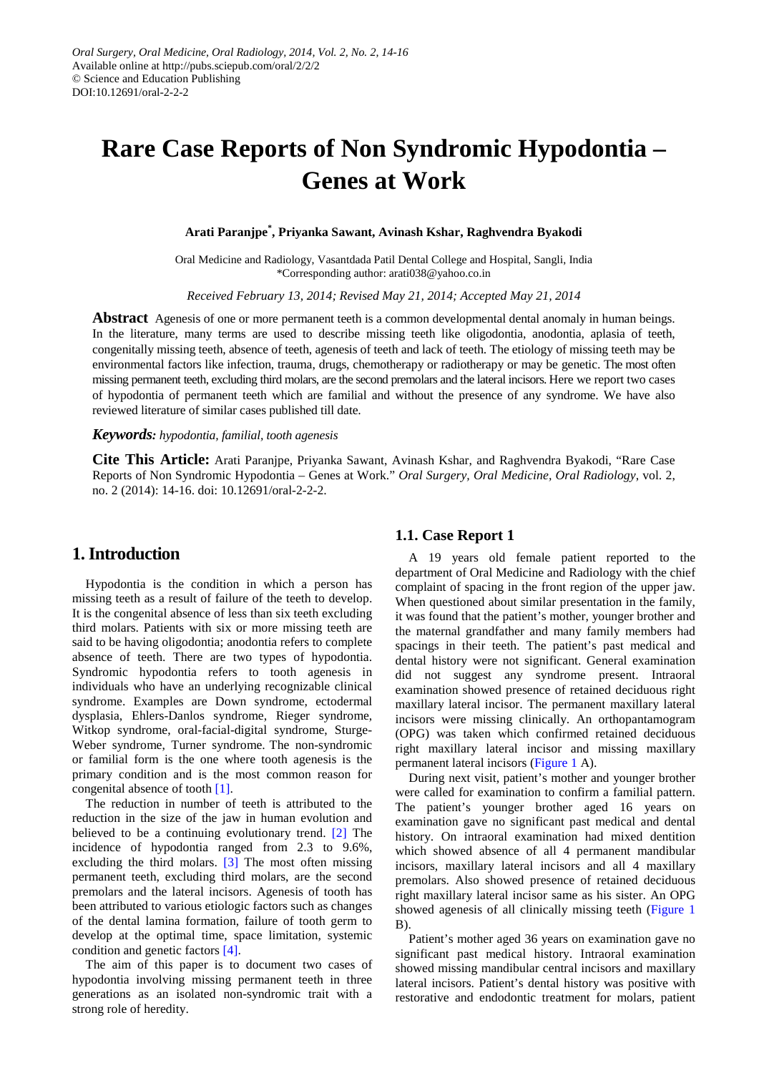# **Rare Case Reports of Non Syndromic Hypodontia – Genes at Work**

**Arati Paranjpe\* , Priyanka Sawant, Avinash Kshar, Raghvendra Byakodi**

Oral Medicine and Radiology, Vasantdada Patil Dental College and Hospital, Sangli, India \*Corresponding author: arati038@yahoo.co.in

*Received February 13, 2014; Revised May 21, 2014; Accepted May 21, 2014*

**Abstract** Agenesis of one or more permanent teeth is a common developmental dental anomaly in human beings. In the literature, many terms are used to describe missing teeth like oligodontia, anodontia, aplasia of teeth, congenitally missing teeth, absence of teeth, agenesis of teeth and lack of teeth. The etiology of missing teeth may be environmental factors like infection, trauma, drugs, chemotherapy or radiotherapy or may be genetic. The most often missing permanent teeth, excluding third molars, are the second premolars and the lateral incisors. Here we report two cases of hypodontia of permanent teeth which are familial and without the presence of any syndrome. We have also reviewed literature of similar cases published till date.

#### *Keywords: hypodontia, familial, tooth agenesis*

**Cite This Article:** Arati Paranjpe, Priyanka Sawant, Avinash Kshar, and Raghvendra Byakodi, "Rare Case Reports of Non Syndromic Hypodontia – Genes at Work." *Oral Surgery, Oral Medicine, Oral Radiology*, vol. 2, no. 2 (2014): 14-16. doi: 10.12691/oral-2-2-2.

## **1. Introduction**

Hypodontia is the condition in which a person has missing teeth as a result of failure of the teeth to develop. It is the congenital absence of less than six teeth excluding third molars. Patients with six or more missing teeth are said to be having oligodontia; anodontia refers to complete absence of teeth. There are two types of hypodontia. Syndromic hypodontia refers to tooth agenesis in individuals who have an underlying recognizable clinical syndrome. Examples are Down syndrome, ectodermal dysplasia, Ehlers-Danlos syndrome, Rieger syndrome, Witkop syndrome, oral-facial-digital syndrome, Sturge-Weber syndrome, Turner syndrome. The non-syndromic or familial form is the one where tooth agenesis is the primary condition and is the most common reason for congenital absence of tooth [\[1\].](#page-2-0)

The reduction in number of teeth is attributed to the reduction in the size of the jaw in human evolution and believed to be a continuing evolutionary trend. [\[2\]](#page-2-1) The incidence of hypodontia ranged from 2.3 to 9.6%, excluding the third molars. [\[3\]](#page-2-2) The most often missing permanent teeth, excluding third molars, are the second premolars and the lateral incisors. Agenesis of tooth has been attributed to various etiologic factors such as changes of the dental lamina formation, failure of tooth germ to develop at the optimal time, space limitation, systemic condition and genetic factors [\[4\].](#page-2-3)

The aim of this paper is to document two cases of hypodontia involving missing permanent teeth in three generations as an isolated non-syndromic trait with a strong role of heredity.

#### **1.1. Case Report 1**

A 19 years old female patient reported to the department of Oral Medicine and Radiology with the chief complaint of spacing in the front region of the upper jaw. When questioned about similar presentation in the family, it was found that the patient's mother, younger brother and the maternal grandfather and many family members had spacings in their teeth. The patient's past medical and dental history were not significant. General examination did not suggest any syndrome present. Intraoral examination showed presence of retained deciduous right maxillary lateral incisor. The permanent maxillary lateral incisors were missing clinically. An orthopantamogram (OPG) was taken which confirmed retained deciduous right maxillary lateral incisor and missing maxillary permanent lateral incisors [\(Figure 1](#page-1-0) A).

During next visit, patient's mother and younger brother were called for examination to confirm a familial pattern. The patient's younger brother aged 16 years on examination gave no significant past medical and dental history. On intraoral examination had mixed dentition which showed absence of all 4 permanent mandibular incisors, maxillary lateral incisors and all 4 maxillary premolars. Also showed presence of retained deciduous right maxillary lateral incisor same as his sister. An OPG showed agenesis of all clinically missing teeth [\(Figure 1](#page-1-0) B).

Patient's mother aged 36 years on examination gave no significant past medical history. Intraoral examination showed missing mandibular central incisors and maxillary lateral incisors. Patient's dental history was positive with restorative and endodontic treatment for molars, patient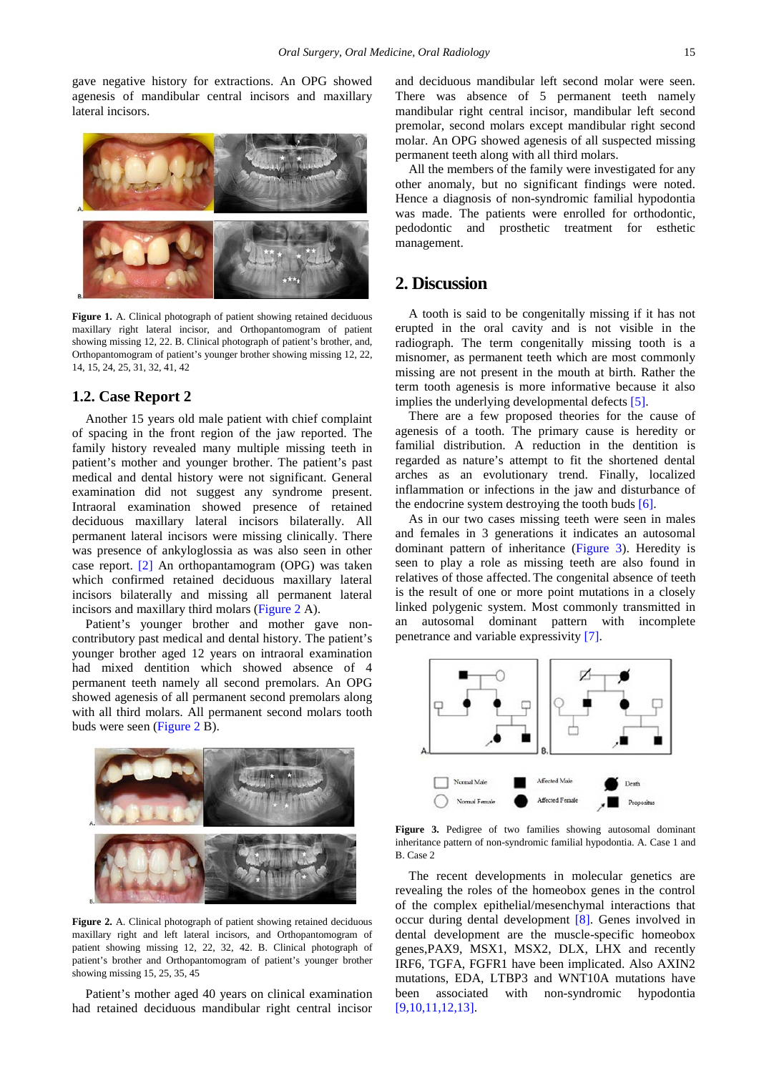gave negative history for extractions. An OPG showed agenesis of mandibular central incisors and maxillary lateral incisors.

<span id="page-1-0"></span>

**Figure 1.** A. Clinical photograph of patient showing retained deciduous maxillary right lateral incisor, and Orthopantomogram of patient showing missing 12, 22. B. Clinical photograph of patient's brother, and, Orthopantomogram of patient's younger brother showing missing 12, 22, 14, 15, 24, 25, 31, 32, 41, 42

#### **1.2. Case Report 2**

Another 15 years old male patient with chief complaint of spacing in the front region of the jaw reported. The family history revealed many multiple missing teeth in patient's mother and younger brother. The patient's past medical and dental history were not significant. General examination did not suggest any syndrome present. Intraoral examination showed presence of retained deciduous maxillary lateral incisors bilaterally. All permanent lateral incisors were missing clinically. There was presence of ankyloglossia as was also seen in other case report. [\[2\]](#page-2-1) An orthopantamogram (OPG) was taken which confirmed retained deciduous maxillary lateral incisors bilaterally and missing all permanent lateral incisors and maxillary third molars [\(Figure 2](#page-1-1) A).

Patient's younger brother and mother gave noncontributory past medical and dental history. The patient's younger brother aged 12 years on intraoral examination had mixed dentition which showed absence of 4 permanent teeth namely all second premolars. An OPG showed agenesis of all permanent second premolars along with all third molars. All permanent second molars tooth buds were seen [\(Figure 2](#page-1-1) B).

<span id="page-1-1"></span>

**Figure 2.** A. Clinical photograph of patient showing retained deciduous maxillary right and left lateral incisors, and Orthopantomogram of patient showing missing 12, 22, 32, 42. B. Clinical photograph of patient's brother and Orthopantomogram of patient's younger brother showing missing 15, 25, 35, 45

Patient's mother aged 40 years on clinical examination had retained deciduous mandibular right central incisor and deciduous mandibular left second molar were seen. There was absence of 5 permanent teeth namely mandibular right central incisor, mandibular left second premolar, second molars except mandibular right second molar. An OPG showed agenesis of all suspected missing permanent teeth along with all third molars.

All the members of the family were investigated for any other anomaly, but no significant findings were noted. Hence a diagnosis of non-syndromic familial hypodontia was made. The patients were enrolled for orthodontic, pedodontic and prosthetic treatment for esthetic management.

### **2. Discussion**

A tooth is said to be congenitally missing if it has not erupted in the oral cavity and is not visible in the radiograph. The term congenitally missing tooth is a misnomer, as permanent teeth which are most commonly missing are not present in the mouth at birth. Rather the term tooth agenesis is more informative because it also implies the underlying developmental defects [\[5\].](#page-2-4)

There are a few proposed theories for the cause of agenesis of a tooth. The primary cause is heredity or familial distribution. A reduction in the dentition is regarded as nature's attempt to fit the shortened dental arches as an evolutionary trend. Finally, localized inflammation or infections in the jaw and disturbance of the endocrine system destroying the tooth buds  $[6]$ .

As in our two cases missing teeth were seen in males and females in 3 generations it indicates an autosomal dominant pattern of inheritance [\(Figure 3\)](#page-1-2). Heredity is seen to play a role as missing teeth are also found in relatives of those affected. The congenital absence of teeth is the result of one or more point mutations in a closely linked polygenic system. Most commonly transmitted in an autosomal dominant pattern with incomplete penetrance and variable expressivity [\[7\].](#page-2-6)

<span id="page-1-2"></span>

**Figure 3.** Pedigree of two families showing autosomal dominant inheritance pattern of non-syndromic familial hypodontia. A. Case 1 and B. Case 2

The recent developments in molecular genetics are revealing the roles of the homeobox genes in the control of the complex epithelial/mesenchymal interactions that occur during dental development [\[8\].](#page-2-7) Genes involved in dental development are the muscle-specific homeobox genes,PAX9, MSX1, MSX2, DLX, LHX and recently IRF6, TGFA, FGFR1 have been implicated. Also AXIN2 mutations, EDA, LTBP3 and WNT10A mutations have been associated with non-syndromic hypodontia [\[9,10,11,12,13\].](#page-2-8)